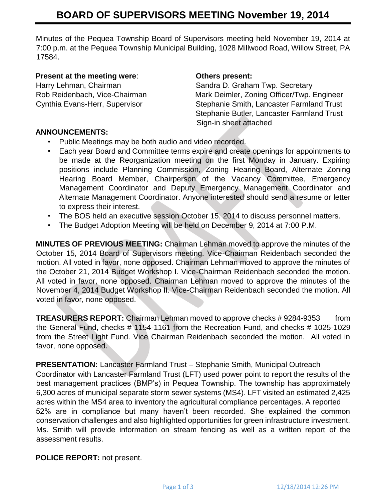Minutes of the Pequea Township Board of Supervisors meeting held November 19, 2014 at 7:00 p.m. at the Pequea Township Municipal Building, 1028 Millwood Road, Willow Street, PA 17584.

#### **Present at the meeting were**: **Others present:**

Harry Lehman, Chairman Sandra D. Graham Twp. Secretary Rob Reidenbach, Vice-Chairman Mark Deimler, Zoning Officer/Twp. Engineer Cynthia Evans-Herr, Supervisor Stephanie Smith, Lancaster Farmland Trust Stephanie Butler, Lancaster Farmland Trust Sign-in sheet attached

### **ANNOUNCEMENTS:**

- Public Meetings may be both audio and video recorded.
- Each year Board and Committee terms expire and create openings for appointments to be made at the Reorganization meeting on the first Monday in January. Expiring positions include Planning Commission, Zoning Hearing Board, Alternate Zoning Hearing Board Member, Chairperson of the Vacancy Committee, Emergency Management Coordinator and Deputy Emergency Management Coordinator and Alternate Management Coordinator. Anyone interested should send a resume or letter to express their interest.
- The BOS held an executive session October 15, 2014 to discuss personnel matters.
- The Budget Adoption Meeting will be held on December 9, 2014 at 7:00 P.M.

**MINUTES OF PREVIOUS MEETING:** Chairman Lehman moved to approve the minutes of the October 15, 2014 Board of Supervisors meeting. Vice-Chairman Reidenbach seconded the motion. All voted in favor, none opposed. Chairman Lehman moved to approve the minutes of the October 21, 2014 Budget Workshop I. Vice-Chairman Reidenbach seconded the motion. All voted in favor, none opposed. Chairman Lehman moved to approve the minutes of the November 4, 2014 Budget Workshop II. Vice-Chairman Reidenbach seconded the motion. All voted in favor, none opposed.

**TREASURERS REPORT:** Chairman Lehman moved to approve checks #9284-9353 from the General Fund, checks # 1154-1161 from the Recreation Fund, and checks # 1025-1029 from the Street Light Fund. Vice Chairman Reidenbach seconded the motion. All voted in favor, none opposed.

**PRESENTATION:** Lancaster Farmland Trust – Stephanie Smith, Municipal Outreach Coordinator with Lancaster Farmland Trust (LFT) used power point to report the results of the best management practices (BMP's) in Pequea Township. The township has approximately 6,300 acres of municipal separate storm sewer systems (MS4). LFT visited an estimated 2,425 acres within the MS4 area to inventory the agricultural compliance percentages. A reported 52% are in compliance but many haven't been recorded. She explained the common conservation challenges and also highlighted opportunities for green infrastructure investment. Ms. Smith will provide information on stream fencing as well as a written report of the assessment results.

**POLICE REPORT:** not present.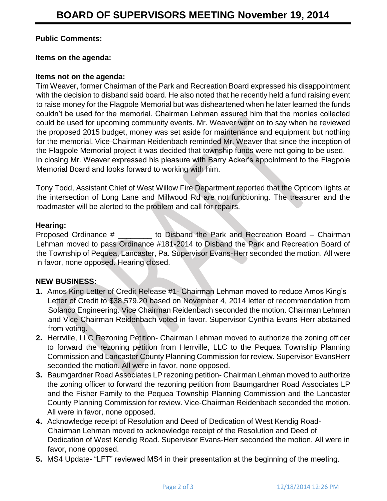# **Public Comments:**

### **Items on the agenda:**

### **Items not on the agenda:**

Tim Weaver, former Chairman of the Park and Recreation Board expressed his disappointment with the decision to disband said board. He also noted that he recently held a fund raising event to raise money for the Flagpole Memorial but was disheartened when he later learned the funds couldn't be used for the memorial. Chairman Lehman assured him that the monies collected could be used for upcoming community events. Mr. Weaver went on to say when he reviewed the proposed 2015 budget, money was set aside for maintenance and equipment but nothing for the memorial. Vice-Chairman Reidenbach reminded Mr. Weaver that since the inception of the Flagpole Memorial project it was decided that township funds were not going to be used. In closing Mr. Weaver expressed his pleasure with Barry Acker's appointment to the Flagpole Memorial Board and looks forward to working with him.

Tony Todd, Assistant Chief of West Willow Fire Department reported that the Opticom lights at the intersection of Long Lane and Millwood Rd are not functioning. The treasurer and the roadmaster will be alerted to the problem and call for repairs.

# **Hearing:**

Proposed Ordinance # \_\_\_\_\_\_\_\_ to Disband the Park and Recreation Board – Chairman Lehman moved to pass Ordinance #181-2014 to Disband the Park and Recreation Board of the Township of Pequea, Lancaster, Pa. Supervisor Evans-Herr seconded the motion. All were in favor, none opposed. Hearing closed.

### **NEW BUSINESS:**

- **1.** Amos King Letter of Credit Release #1- Chairman Lehman moved to reduce Amos King's Letter of Credit to \$38,579.20 based on November 4, 2014 letter of recommendation from Solanco Engineering. Vice Chairman Reidenbach seconded the motion. Chairman Lehman and Vice-Chairman Reidenbach voted in favor. Supervisor Cynthia Evans-Herr abstained from voting.
- **2.** Herrville, LLC Rezoning Petition- Chairman Lehman moved to authorize the zoning officer to forward the rezoning petition from Herrville, LLC to the Pequea Township Planning Commission and Lancaster County Planning Commission for review. Supervisor EvansHerr seconded the motion. All were in favor, none opposed.
- **3.** Baumgardner Road Associates LP rezoning petition- Chairman Lehman moved to authorize the zoning officer to forward the rezoning petition from Baumgardner Road Associates LP and the Fisher Family to the Pequea Township Planning Commission and the Lancaster County Planning Commission for review. Vice-Chairman Reidenbach seconded the motion. All were in favor, none opposed.
- **4.** Acknowledge receipt of Resolution and Deed of Dedication of West Kendig Road-Chairman Lehman moved to acknowledge receipt of the Resolution and Deed of Dedication of West Kendig Road. Supervisor Evans-Herr seconded the motion. All were in favor, none opposed.
- **5.** MS4 Update- "LFT" reviewed MS4 in their presentation at the beginning of the meeting.